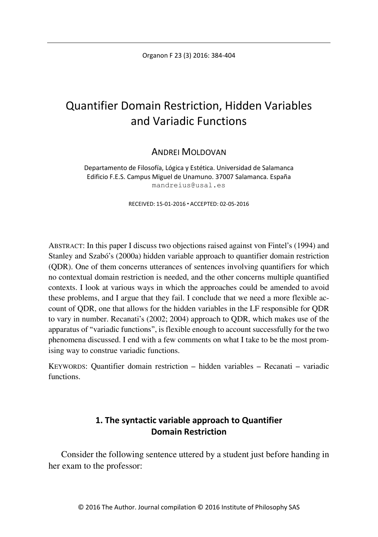# Quantifier Domain Restriction, Hidden Variables and Variadic Functions

## ANDREI MOLDOVAN

Departamento de Filosofía, Lógica y Estética. Universidad de Salamanca Edificio F.E.S. Campus Miguel de Unamuno. 37007 Salamanca. España mandreius@usal.es

RECEIVED: 15-01-2016 ACCEPTED: 02-05-2016

ABSTRACT: In this paper I discuss two objections raised against von Fintel's (1994) and Stanley and Szabó's (2000a) hidden variable approach to quantifier domain restriction (QDR). One of them concerns utterances of sentences involving quantifiers for which no contextual domain restriction is needed, and the other concerns multiple quantified contexts. I look at various ways in which the approaches could be amended to avoid these problems, and I argue that they fail. I conclude that we need a more flexible account of QDR, one that allows for the hidden variables in the LF responsible for QDR to vary in number. Recanati's (2002; 2004) approach to QDR, which makes use of the apparatus of "variadic functions", is flexible enough to account successfully for the two phenomena discussed. I end with a few comments on what I take to be the most promising way to construe variadic functions.

KEYWORDS: Quantifier domain restriction – hidden variables – Recanati – variadic functions.

## **1. The syntactic variable approach to Quantifier Domain Restriction**

Consider the following sentence uttered by a student just before handing in her exam to the professor: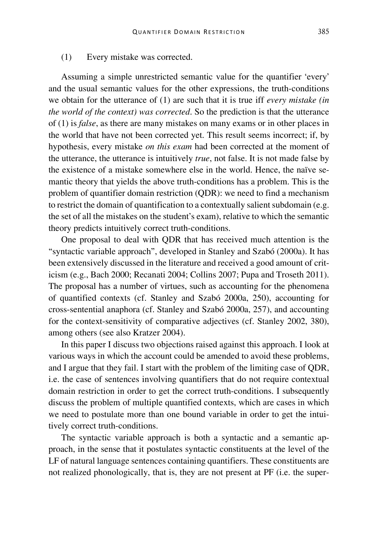#### (1) Every mistake was corrected.

Assuming a simple unrestricted semantic value for the quantifier 'every' and the usual semantic values for the other expressions, the truth-conditions we obtain for the utterance of (1) are such that it is true iff *every mistake (in the world of the context) was corrected*. So the prediction is that the utterance of (1) is *false*, as there are many mistakes on many exams or in other places in the world that have not been corrected yet. This result seems incorrect; if, by hypothesis, every mistake *on this exam* had been corrected at the moment of the utterance, the utterance is intuitively *true*, not false. It is not made false by the existence of a mistake somewhere else in the world. Hence, the naïve semantic theory that yields the above truth-conditions has a problem. This is the problem of quantifier domain restriction (QDR): we need to find a mechanism to restrict the domain of quantification to a contextually salient subdomain (e.g. the set of all the mistakes on the student's exam), relative to which the semantic theory predicts intuitively correct truth-conditions.

One proposal to deal with QDR that has received much attention is the "syntactic variable approach", developed in Stanley and Szabó (2000a). It has been extensively discussed in the literature and received a good amount of criticism (e.g., Bach 2000; Recanati 2004; Collins 2007; Pupa and Troseth 2011). The proposal has a number of virtues, such as accounting for the phenomena of quantified contexts (cf. Stanley and Szabó 2000a, 250), accounting for cross-sentential anaphora (cf. Stanley and Szabó 2000a, 257), and accounting for the context-sensitivity of comparative adjectives (cf. Stanley 2002, 380), among others (see also Kratzer 2004).

In this paper I discuss two objections raised against this approach. I look at various ways in which the account could be amended to avoid these problems, and I argue that they fail. I start with the problem of the limiting case of QDR, i.e. the case of sentences involving quantifiers that do not require contextual domain restriction in order to get the correct truth-conditions. I subsequently discuss the problem of multiple quantified contexts, which are cases in which we need to postulate more than one bound variable in order to get the intuitively correct truth-conditions.

The syntactic variable approach is both a syntactic and a semantic approach, in the sense that it postulates syntactic constituents at the level of the LF of natural language sentences containing quantifiers. These constituents are not realized phonologically, that is, they are not present at PF (i.e. the super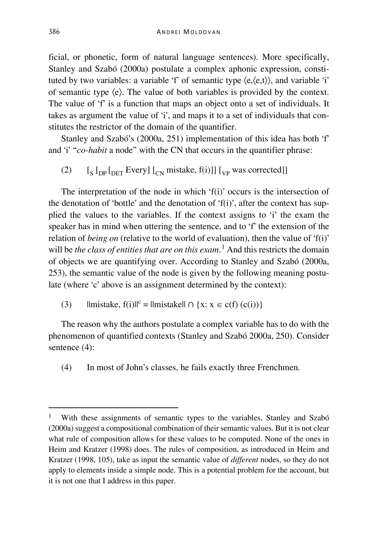ficial, or phonetic, form of natural language sentences). More specifically, Stanley and Szabó (2000a) postulate a complex aphonic expression, constituted by two variables: a variable 'f' of semantic type  $\langle e, \langle e, t \rangle \rangle$ , and variable 'i' of semantic type ⟨e⟩. The value of both variables is provided by the context. The value of 'f' is a function that maps an object onto a set of individuals. It takes as argument the value of 'i', and maps it to a set of individuals that constitutes the restrictor of the domain of the quantifier.

Stanley and Szabó's (2000a, 251) implementation of this idea has both 'f' and 'i' "*co-habit* a node" with the CN that occurs in the quantifier phrase:

(2)  $\left[\frac{1}{\mathcal{N}} \left[\frac{1}{\mathcal{N}} \mathbf{E} \mathbf{V} \mathbf{C} \mathbf{V} \mathbf{V} \right] \left[\frac{1}{\mathcal{N}} \mathbf{W} \mathbf{V} \mathbf{A} \mathbf{S} \mathbf{A} \mathbf{V} \right] \mathbf{S} \right]$ 

The interpretation of the node in which 'f(i)' occurs is the intersection of the denotation of 'bottle' and the denotation of 'f(i)', after the context has supplied the values to the variables. If the context assigns to 'i' the exam the speaker has in mind when uttering the sentence, and to 'f' the extension of the relation of *being on* (relative to the world of evaluation), then the value of 'f(i)' will be *the class of entities that are on this exam*. [1](#page-2-0) And this restricts the domain of objects we are quantifying over. According to Stanley and Szabó (2000a, 253), the semantic value of the node is given by the following meaning postulate (where 'c' above is an assignment determined by the context):

(3)  $||\text{mistake}, f(i)||^c = ||\text{mistake}|| \cap \{x: x \in c(f)(c(i))\}\$ 

The reason why the authors postulate a complex variable has to do with the phenomenon of quantified contexts (Stanley and Szabó 2000a, 250). Consider sentence (4):

(4) In most of John's classes, he fails exactly three Frenchmen.

<span id="page-2-0"></span>With these assignments of semantic types to the variables, Stanley and Szabó (2000a) suggest a compositional combination of their semantic values. But it is not clear what rule of composition allows for these values to be computed. None of the ones in Heim and Kratzer (1998) does. The rules of composition, as introduced in Heim and Kratzer (1998, 105), take as input the semantic value of *different* nodes, so they do not apply to elements inside a simple node. This is a potential problem for the account, but it is not one that I address in this paper.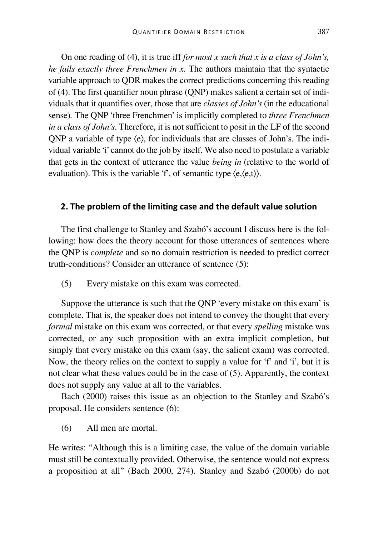On one reading of (4), it is true iff *for most x such that x is a class of John's, he fails exactly three Frenchmen in x.* The authors maintain that the syntactic variable approach to QDR makes the correct predictions concerning this reading of (4). The first quantifier noun phrase (QNP) makes salient a certain set of individuals that it quantifies over, those that are *classes of John's* (in the educational sense)*.* The QNP 'three Frenchmen' is implicitly completed to *three Frenchmen in a class of John's*. Therefore, it is not sufficient to posit in the LF of the second QNP a variable of type ⟨e⟩, for individuals that are classes of John's. The individual variable 'i' cannot do the job by itself. We also need to postulate a variable that gets in the context of utterance the value *being in* (relative to the world of evaluation). This is the variable 'f', of semantic type  $\langle e, \langle e, t \rangle \rangle$ .

#### **2. The problem of the limiting case and the default value solution**

The first challenge to Stanley and Szabó's account I discuss here is the following: how does the theory account for those utterances of sentences where the QNP is *complete* and so no domain restriction is needed to predict correct truth-conditions? Consider an utterance of sentence (5):

(5) Every mistake on this exam was corrected.

Suppose the utterance is such that the QNP 'every mistake on this exam' is complete. That is, the speaker does not intend to convey the thought that every *formal* mistake on this exam was corrected, or that every *spelling* mistake was corrected, or any such proposition with an extra implicit completion, but simply that every mistake on this exam (say, the salient exam) was corrected. Now, the theory relies on the context to supply a value for 'f' and 'i', but it is not clear what these values could be in the case of (5). Apparently, the context does not supply any value at all to the variables.

Bach (2000) raises this issue as an objection to the Stanley and Szabó's proposal. He considers sentence (6):

(6) All men are mortal.

He writes: "Although this is a limiting case, the value of the domain variable must still be contextually provided. Otherwise, the sentence would not express a proposition at all" (Bach 2000, 274). Stanley and Szabó (2000b) do not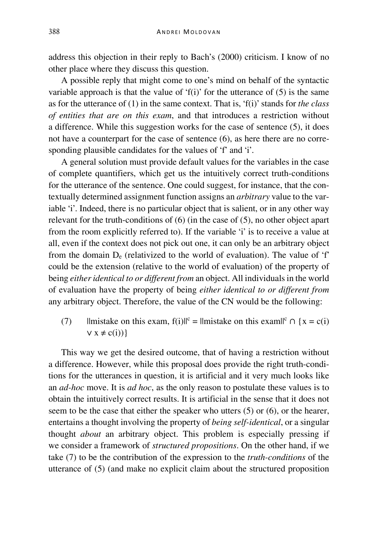address this objection in their reply to Bach's (2000) criticism. I know of no other place where they discuss this question.

A possible reply that might come to one's mind on behalf of the syntactic variable approach is that the value of 'f(i)' for the utterance of  $(5)$  is the same as for the utterance of (1) in the same context. That is, 'f(i)' stands for *the class of entities that are on this exam*, and that introduces a restriction without a difference. While this suggestion works for the case of sentence (5), it does not have a counterpart for the case of sentence (6), as here there are no corresponding plausible candidates for the values of 'f' and 'i'.

A general solution must provide default values for the variables in the case of complete quantifiers, which get us the intuitively correct truth-conditions for the utterance of the sentence. One could suggest, for instance, that the contextually determined assignment function assigns an *arbitrary* value to the variable 'i'. Indeed, there is no particular object that is salient, or in any other way relevant for the truth-conditions of (6) (in the case of (5), no other object apart from the room explicitly referred to). If the variable 'i' is to receive a value at all, even if the context does not pick out one, it can only be an arbitrary object from the domain  $D_e$  (relativized to the world of evaluation). The value of 'f' could be the extension (relative to the world of evaluation) of the property of being *either identical to or different from* an object. All individuals in the world of evaluation have the property of being *either identical to or different from*  any arbitrary object. Therefore, the value of the CN would be the following:

(7)  $||\text{mistake on this exam, } f(i)||^c = ||\text{mistake on this exam}||^c \cap \{x = c(i)\}\$  $V x \neq c(i)$ }

This way we get the desired outcome, that of having a restriction without a difference. However, while this proposal does provide the right truth-conditions for the utterances in question, it is artificial and it very much looks like an *ad-hoc* move. It is *ad hoc*, as the only reason to postulate these values is to obtain the intuitively correct results. It is artificial in the sense that it does not seem to be the case that either the speaker who utters (5) or (6), or the hearer, entertains a thought involving the property of *being self-identical*, or a singular thought *about* an arbitrary object. This problem is especially pressing if we consider a framework of *structured propositions*. On the other hand, if we take (7) to be the contribution of the expression to the *truth-conditions* of the utterance of (5) (and make no explicit claim about the structured proposition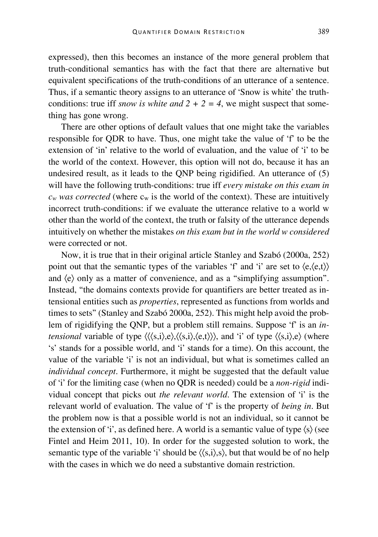expressed), then this becomes an instance of the more general problem that truth-conditional semantics has with the fact that there are alternative but equivalent specifications of the truth-conditions of an utterance of a sentence. Thus, if a semantic theory assigns to an utterance of 'Snow is white' the truthconditions: true iff *snow is white and*  $2 + 2 = 4$ , we might suspect that something has gone wrong.

There are other options of default values that one might take the variables responsible for QDR to have. Thus, one might take the value of 'f' to be the extension of 'in' relative to the world of evaluation, and the value of 'i' to be the world of the context. However, this option will not do, because it has an undesired result, as it leads to the QNP being rigidified. An utterance of (5) will have the following truth-conditions: true iff *every mistake on this exam in*   $c_w$  *was corrected* (where  $c_w$  is the world of the context). These are intuitively incorrect truth-conditions: if we evaluate the utterance relative to a world w other than the world of the context, the truth or falsity of the utterance depends intuitively on whether the mistakes *on this exam but in the world w considered* were corrected or not.

Now, it is true that in their original article Stanley and Szabó (2000a, 252) point out that the semantic types of the variables 'f' and 'i' are set to  $\langle e, \langle e, t \rangle \rangle$ and  $\langle e \rangle$  only as a matter of convenience, and as a "simplifying assumption". Instead, "the domains contexts provide for quantifiers are better treated as intensional entities such as *properties*, represented as functions from worlds and times to sets" (Stanley and Szabó 2000a, 252). This might help avoid the problem of rigidifying the QNP, but a problem still remains. Suppose 'f' is an *intensional* variable of type  $\langle \langle \langle s,i \rangle \rangle, e \rangle, \langle \langle s,i \rangle \rangle, e, \langle \langle s,i \rangle \rangle$ , and 'i' of type  $\langle \langle s,i \rangle, e \rangle$  (where 's' stands for a possible world, and 'i' stands for a time). On this account, the value of the variable 'i' is not an individual, but what is sometimes called an *individual concept*. Furthermore, it might be suggested that the default value of 'i' for the limiting case (when no QDR is needed) could be a *non-rigid* individual concept that picks out *the relevant world*. The extension of 'i' is the relevant world of evaluation. The value of 'f' is the property of *being in*. But the problem now is that a possible world is not an individual, so it cannot be the extension of 'i', as defined here. A world is a semantic value of type  $\langle s \rangle$  (see Fintel and Heim 2011, 10). In order for the suggested solution to work, the semantic type of the variable 'i' should be  $\langle \langle s,i \rangle, s \rangle$ , but that would be of no help with the cases in which we do need a substantive domain restriction.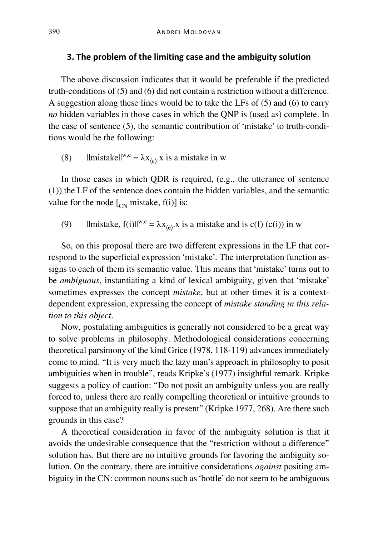### **3. The problem of the limiting case and the ambiguity solution**

The above discussion indicates that it would be preferable if the predicted truth-conditions of (5) and (6) did not contain a restriction without a difference. A suggestion along these lines would be to take the LFs of (5) and (6) to carry *no* hidden variables in those cases in which the QNP is (used as) complete. In the case of sentence (5), the semantic contribution of 'mistake' to truth-conditions would be the following:

(8)  $||\text{mistakell}^{w,c} = \lambda x_{\langle e \rangle}$  is a mistake in w

In those cases in which QDR is required, (e.g., the utterance of sentence (1)) the LF of the sentence does contain the hidden variables, and the semantic value for the node  $\left[\begin{matrix}C_N \\ C_N\end{matrix}\right]$  mistake, f(i)] is:

(9)  $|\text{mistake, } f(i)|^{w,c} = \lambda x_{\langle e \rangle}$  is a mistake and is c(f) (c(i)) in w

So, on this proposal there are two different expressions in the LF that correspond to the superficial expression 'mistake'. The interpretation function assigns to each of them its semantic value. This means that 'mistake' turns out to be *ambiguous*, instantiating a kind of lexical ambiguity, given that 'mistake' sometimes expresses the concept *mistake*, but at other times it is a contextdependent expression, expressing the concept of *mistake standing in this relation to this object*.

Now, postulating ambiguities is generally not considered to be a great way to solve problems in philosophy. Methodological considerations concerning theoretical parsimony of the kind Grice (1978, 118-119) advances immediately come to mind. "It is very much the lazy man's approach in philosophy to posit ambiguities when in trouble", reads Kripke's (1977) insightful remark. Kripke suggests a policy of caution: "Do not posit an ambiguity unless you are really forced to, unless there are really compelling theoretical or intuitive grounds to suppose that an ambiguity really is present" (Kripke 1977, 268). Are there such grounds in this case?

A theoretical consideration in favor of the ambiguity solution is that it avoids the undesirable consequence that the "restriction without a difference" solution has. But there are no intuitive grounds for favoring the ambiguity solution. On the contrary, there are intuitive considerations *against* positing ambiguity in the CN: common nouns such as 'bottle' do not seem to be ambiguous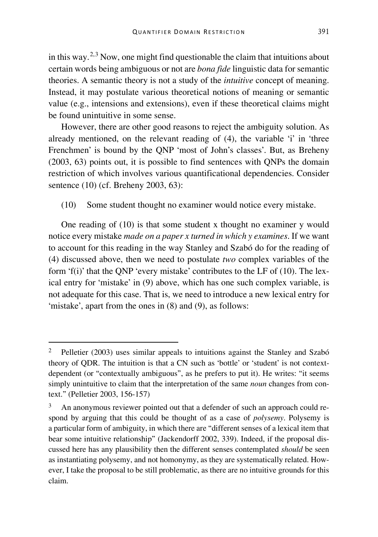in this way.[2](#page-7-0),[3](#page-7-1) Now, one might find questionable the claim that intuitions about certain words being ambiguous or not are *bona fide* linguistic data for semantic theories. A semantic theory is not a study of the *intuitive* concept of meaning. Instead, it may postulate various theoretical notions of meaning or semantic value (e.g., intensions and extensions), even if these theoretical claims might be found unintuitive in some sense.

However, there are other good reasons to reject the ambiguity solution. As already mentioned, on the relevant reading of (4), the variable 'i' in 'three Frenchmen' is bound by the QNP 'most of John's classes'. But, as Breheny (2003, 63) points out, it is possible to find sentences with QNPs the domain restriction of which involves various quantificational dependencies. Consider sentence (10) (cf. Breheny 2003, 63):

(10) Some student thought no examiner would notice every mistake.

One reading of (10) is that some student x thought no examiner y would notice every mistake *made on a paper x turned in which y examines*. If we want to account for this reading in the way Stanley and Szabó do for the reading of (4) discussed above, then we need to postulate *two* complex variables of the form 'f(i)' that the ONP 'every mistake' contributes to the LF of  $(10)$ . The lexical entry for 'mistake' in (9) above, which has one such complex variable, is not adequate for this case. That is, we need to introduce a new lexical entry for 'mistake', apart from the ones in (8) and (9), as follows:

<span id="page-7-0"></span> <sup>2</sup> Pelletier (2003) uses similar appeals to intuitions against the Stanley and Szabó theory of QDR. The intuition is that a CN such as 'bottle' or 'student' is not contextdependent (or "contextually ambiguous", as he prefers to put it). He writes: "it seems simply unintuitive to claim that the interpretation of the same *noun* changes from context." (Pelletier 2003, 156-157)

<span id="page-7-1"></span><sup>&</sup>lt;sup>3</sup> An anonymous reviewer pointed out that a defender of such an approach could respond by arguing that this could be thought of as a case of *polysemy*. Polysemy is a particular form of ambiguity, in which there are "different senses of a lexical item that bear some intuitive relationship" (Jackendorff 2002, 339). Indeed, if the proposal discussed here has any plausibility then the different senses contemplated *should* be seen as instantiating polysemy, and not homonymy, as they are systematically related. However, I take the proposal to be still problematic, as there are no intuitive grounds for this claim.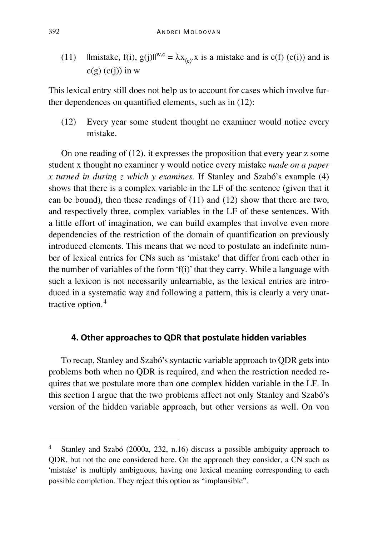(11)  $\lim{ \text{istake}, f(i), g(j) } \|^{w,c} = \lambda x_{\langle e \rangle}.$  is a mistake and is c(f) (c(i)) and is  $c(g)$  (c(j)) in w

This lexical entry still does not help us to account for cases which involve further dependences on quantified elements, such as in (12):

(12) Every year some student thought no examiner would notice every mistake.

On one reading of (12), it expresses the proposition that every year z some student x thought no examiner y would notice every mistake *made on a paper x turned in during z which y examines.* If Stanley and Szabó's example (4) shows that there is a complex variable in the LF of the sentence (given that it can be bound), then these readings of (11) and (12) show that there are two, and respectively three, complex variables in the LF of these sentences. With a little effort of imagination, we can build examples that involve even more dependencies of the restriction of the domain of quantification on previously introduced elements. This means that we need to postulate an indefinite number of lexical entries for CNs such as 'mistake' that differ from each other in the number of variables of the form 'f(i)' that they carry. While a language with such a lexicon is not necessarily unlearnable, as the lexical entries are introduced in a systematic way and following a pattern, this is clearly a very unattractive option.[4](#page-8-0)

## **4. Other approaches to QDR that postulate hidden variables**

To recap, Stanley and Szabó's syntactic variable approach to QDR gets into problems both when no QDR is required, and when the restriction needed requires that we postulate more than one complex hidden variable in the LF. In this section I argue that the two problems affect not only Stanley and Szabó's version of the hidden variable approach, but other versions as well. On von

<span id="page-8-0"></span> <sup>4</sup> Stanley and Szabó (2000a, 232, n.16) discuss a possible ambiguity approach to QDR, but not the one considered here. On the approach they consider, a CN such as 'mistake' is multiply ambiguous, having one lexical meaning corresponding to each possible completion. They reject this option as "implausible".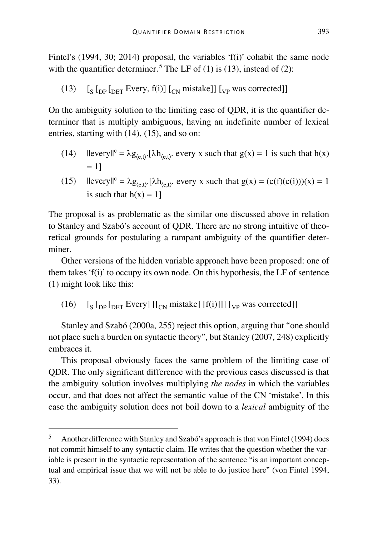Fintel's (1994, 30; 2014) proposal, the variables 'f(i)' cohabit the same node with the quantifier determiner.<sup>[5](#page-9-0)</sup> The LF of (1) is (13), instead of (2):

(13)  $\left[\frac{S}{D} \ln \ln T$  Every, f(i)]  $\left[\frac{S}{D} \ln \ln T\right]$  [<sub>VP</sub> was corrected]]

On the ambiguity solution to the limiting case of QDR, it is the quantifier determiner that is multiply ambiguous, having an indefinite number of lexical entries, starting with (14), (15), and so on:

- (14)  $\text{levery} \, \text{if } \, \lambda g_{(e,t)}.\text{[}\lambda h_{(e,t)}.\text{every x such that } g(x) = 1 \text{ is such that } h(x)$  $= 11$
- (15)  $||\text{every}||^c = \lambda g_{(e,t)}\cdot[\lambda h_{(e,t)}]$ , every x such that  $g(x) = (c(f)(c(i)))(x) = 1$ is such that  $h(x) = 1$ ]

The proposal is as problematic as the similar one discussed above in relation to Stanley and Szabó's account of QDR. There are no strong intuitive of theoretical grounds for postulating a rampant ambiguity of the quantifier determiner.

Other versions of the hidden variable approach have been proposed: one of them takes 'f(i)' to occupy its own node. On this hypothesis, the LF of sentence (1) might look like this:

(16)  $\left[\int_S \left[\int_{\text{DFT}} \text{Every}\right] \left[\int_{\text{CN}} \text{mistake}\right] [f(i)]\right] \left[\int_{\text{VP}} \text{was corrected}\right]$ 

Stanley and Szabó (2000a, 255) reject this option, arguing that "one should not place such a burden on syntactic theory", but Stanley (2007, 248) explicitly embraces it.

This proposal obviously faces the same problem of the limiting case of QDR. The only significant difference with the previous cases discussed is that the ambiguity solution involves multiplying *the nodes* in which the variables occur, and that does not affect the semantic value of the CN 'mistake'. In this case the ambiguity solution does not boil down to a *lexical* ambiguity of the

<span id="page-9-0"></span> <sup>5</sup> Another difference with Stanley and Szabó's approach is that von Fintel (1994) does not commit himself to any syntactic claim. He writes that the question whether the variable is present in the syntactic representation of the sentence "is an important conceptual and empirical issue that we will not be able to do justice here" (von Fintel 1994, 33).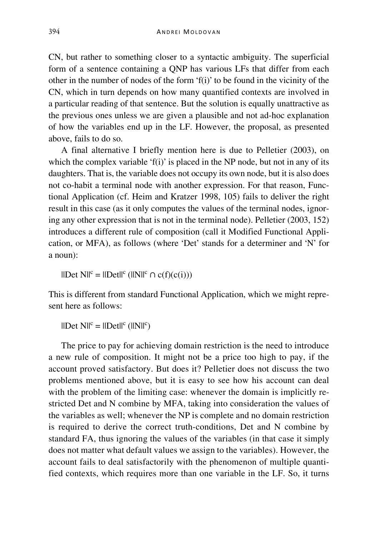CN, but rather to something closer to a syntactic ambiguity. The superficial form of a sentence containing a QNP has various LFs that differ from each other in the number of nodes of the form 'f(i)' to be found in the vicinity of the CN, which in turn depends on how many quantified contexts are involved in a particular reading of that sentence. But the solution is equally unattractive as the previous ones unless we are given a plausible and not ad-hoc explanation of how the variables end up in the LF. However, the proposal, as presented above, fails to do so.

A final alternative I briefly mention here is due to Pelletier (2003), on which the complex variable ' $f(i)$ ' is placed in the NP node, but not in any of its daughters. That is, the variable does not occupy its own node, but it is also does not co-habit a terminal node with another expression. For that reason, Functional Application (cf. Heim and Kratzer 1998, 105) fails to deliver the right result in this case (as it only computes the values of the terminal nodes, ignoring any other expression that is not in the terminal node). Pelletier (2003, 152) introduces a different rule of composition (call it Modified Functional Application, or MFA), as follows (where 'Det' stands for a determiner and 'N' for a noun):

 $||Det N||^c = ||Det||^c (||N||^c \cap c(f)(c(i)))$ 

This is different from standard Functional Application, which we might represent here as follows:

 $\mathbb{I}[\text{Det } N \mathbb{I}^c = \mathbb{I}[\text{Det } \mathbb{I}^c (\mathbb{I}[\text{N} \mathbb{I}^c)]$ 

The price to pay for achieving domain restriction is the need to introduce a new rule of composition. It might not be a price too high to pay, if the account proved satisfactory. But does it? Pelletier does not discuss the two problems mentioned above, but it is easy to see how his account can deal with the problem of the limiting case: whenever the domain is implicitly restricted Det and N combine by MFA, taking into consideration the values of the variables as well; whenever the NP is complete and no domain restriction is required to derive the correct truth-conditions, Det and N combine by standard FA, thus ignoring the values of the variables (in that case it simply does not matter what default values we assign to the variables). However, the account fails to deal satisfactorily with the phenomenon of multiple quantified contexts, which requires more than one variable in the LF. So, it turns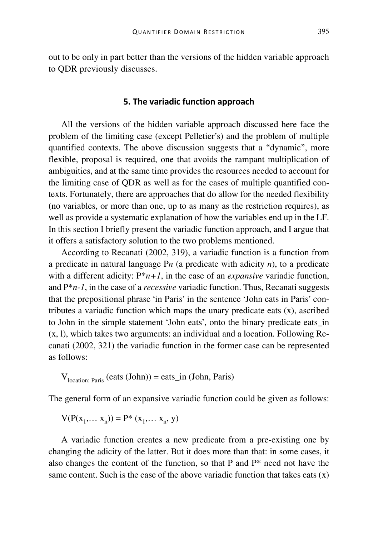out to be only in part better than the versions of the hidden variable approach to QDR previously discusses.

#### **5. The variadic function approach**

All the versions of the hidden variable approach discussed here face the problem of the limiting case (except Pelletier's) and the problem of multiple quantified contexts. The above discussion suggests that a "dynamic", more flexible, proposal is required, one that avoids the rampant multiplication of ambiguities, and at the same time provides the resources needed to account for the limiting case of QDR as well as for the cases of multiple quantified contexts. Fortunately, there are approaches that do allow for the needed flexibility (no variables, or more than one, up to as many as the restriction requires), as well as provide a systematic explanation of how the variables end up in the LF. In this section I briefly present the variadic function approach, and I argue that it offers a satisfactory solution to the two problems mentioned.

According to Recanati (2002, 319), a variadic function is a function from a predicate in natural language P*n* (a predicate with adicity *n*), to a predicate with a different adicity:  $P^*n+1$ , in the case of an *expansive* variadic function, and P\**n-1*, in the case of a *recessive* variadic function. Thus, Recanati suggests that the prepositional phrase 'in Paris' in the sentence 'John eats in Paris' contributes a variadic function which maps the unary predicate eats (x), ascribed to John in the simple statement 'John eats', onto the binary predicate eats\_in (x, l), which takes two arguments: an individual and a location. Following Recanati (2002, 321) the variadic function in the former case can be represented as follows:

$$
V_{location: Paris} (eats (John)) = eats_in (John, Paris)
$$

The general form of an expansive variadic function could be given as follows:

$$
V(P(x_1,... x_n)) = P^* (x_1,... x_n, y)
$$

A variadic function creates a new predicate from a pre-existing one by changing the adicity of the latter. But it does more than that: in some cases, it also changes the content of the function, so that P and  $P^*$  need not have the same content. Such is the case of the above variadic function that takes eats  $(x)$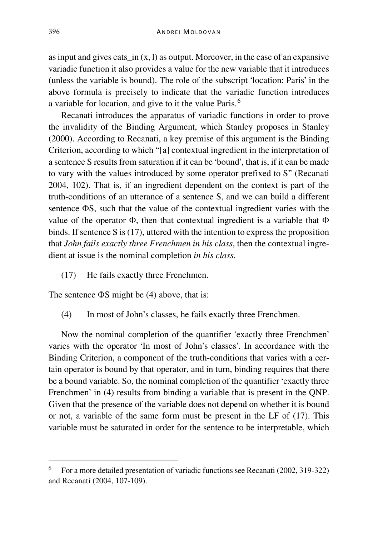as input and gives eats in  $(x, l)$  as output. Moreover, in the case of an expansive variadic function it also provides a value for the new variable that it introduces (unless the variable is bound). The role of the subscript 'location: Paris' in the above formula is precisely to indicate that the variadic function introduces a variable for location, and give to it the value Paris.<sup>[6](#page-12-0)</sup>

Recanati introduces the apparatus of variadic functions in order to prove the invalidity of the Binding Argument, which Stanley proposes in Stanley (2000). According to Recanati, a key premise of this argument is the Binding Criterion, according to which "[a] contextual ingredient in the interpretation of a sentence S results from saturation if it can be 'bound', that is, if it can be made to vary with the values introduced by some operator prefixed to S" (Recanati 2004, 102). That is, if an ingredient dependent on the context is part of the truth-conditions of an utterance of a sentence S, and we can build a different sentence ΦS, such that the value of the contextual ingredient varies with the value of the operator Φ, then that contextual ingredient is a variable that Φ binds. If sentence S is (17), uttered with the intention to express the proposition that *John fails exactly three Frenchmen in his class*, then the contextual ingredient at issue is the nominal completion *in his class.*

(17) He fails exactly three Frenchmen.

The sentence ΦS might be (4) above, that is:

(4) In most of John's classes, he fails exactly three Frenchmen.

Now the nominal completion of the quantifier 'exactly three Frenchmen' varies with the operator 'In most of John's classes'. In accordance with the Binding Criterion, a component of the truth-conditions that varies with a certain operator is bound by that operator, and in turn, binding requires that there be a bound variable. So, the nominal completion of the quantifier 'exactly three Frenchmen' in (4) results from binding a variable that is present in the QNP. Given that the presence of the variable does not depend on whether it is bound or not, a variable of the same form must be present in the LF of (17). This variable must be saturated in order for the sentence to be interpretable, which

<span id="page-12-0"></span> <sup>6</sup> For a more detailed presentation of variadic functions see Recanati (2002, 319-322) and Recanati (2004, 107-109).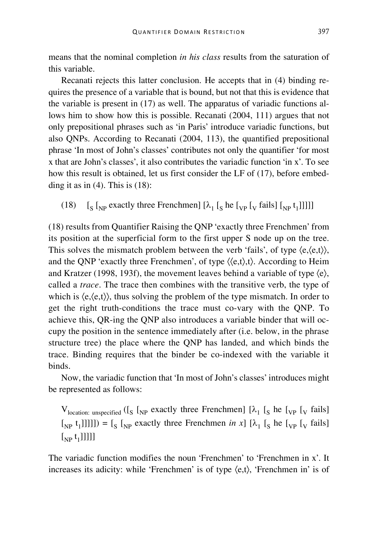means that the nominal completion *in his class* results from the saturation of this variable.

Recanati rejects this latter conclusion. He accepts that in (4) binding requires the presence of a variable that is bound, but not that this is evidence that the variable is present in (17) as well. The apparatus of variadic functions allows him to show how this is possible. Recanati (2004, 111) argues that not only prepositional phrases such as 'in Paris' introduce variadic functions, but also QNPs. According to Recanati (2004, 113), the quantified prepositional phrase 'In most of John's classes' contributes not only the quantifier 'for most x that are John's classes', it also contributes the variadic function 'in x'. To see how this result is obtained, let us first consider the LF of (17), before embedding it as in  $(4)$ . This is  $(18)$ :

(18)  $\left[\int_S \left[\int_{NP} \text{ exactly three Frenchmen}\right] \left[\lambda_1 \left[\int_S \text{he} \left[\int_V \text{fails}\right] \left[\int_N \text{e} \left[\right] \right] \right] \right]\right] \right]$ 

(18) results from Quantifier Raising the QNP 'exactly three Frenchmen' from its position at the superficial form to the first upper S node up on the tree. This solves the mismatch problem between the verb 'fails', of type  $\langle e, \langle e, t \rangle \rangle$ , and the QNP 'exactly three Frenchmen', of type  $\langle\langle e,t\rangle,t\rangle$ . According to Heim and Kratzer (1998, 193f), the movement leaves behind a variable of type ⟨e⟩, called a *trace*. The trace then combines with the transitive verb, the type of which is  $\langle e, \langle e, t \rangle \rangle$ , thus solving the problem of the type mismatch. In order to get the right truth-conditions the trace must co-vary with the QNP. To achieve this, QR-ing the QNP also introduces a variable binder that will occupy the position in the sentence immediately after (i.e. below, in the phrase structure tree) the place where the QNP has landed, and which binds the trace. Binding requires that the binder be co-indexed with the variable it binds.

Now, the variadic function that 'In most of John's classes' introduces might be represented as follows:

 $V_{location: unspecified}$  ([<sub>S</sub> [<sub>NP</sub> exactly three Frenchmen] [ $\lambda_1$  [<sub>S</sub> he [<sub>VP</sub> [<sub>V</sub> fails]  $[\begin{bmatrix} [X_{\text{NP}}] & t_{\text{1}} \end{bmatrix}]$ ]]]) =  $[\begin{bmatrix} [X_{\text{NP}}] & [X_{\text{NP}}] \end{bmatrix}]$  exactly three Frenchmen *in x*]  $[\lambda_1 \begin{bmatrix} [X_{\text{P}}] & [X_{\text{P}}] \end{bmatrix}]$  fails]  $\left[\begin{smallmatrix} 0 & t_1 \end{smallmatrix}\right]$ 

The variadic function modifies the noun 'Frenchmen' to 'Frenchmen in x'. It increases its adicity: while 'Frenchmen' is of type ⟨e,t⟩, 'Frenchmen in' is of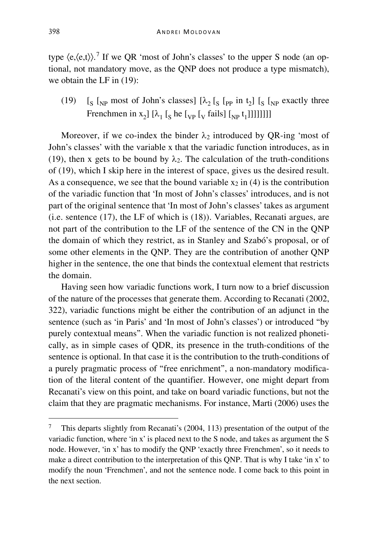type  $\langle e, \langle e, t \rangle \rangle$ .<sup>[7](#page-14-0)</sup> If we QR 'most of John's classes' to the upper S node (an optional, not mandatory move, as the QNP does not produce a type mismatch), we obtain the LF in (19):

(19)  $\left[\int_S \left[\int_{NP} \text{most of John's classes}\right] \left[\lambda_2\right]_{S} \left[\int_{PP} \text{in } t_2\right] \left[\int_S \left[\int_{NP} \text{exactly three}\right] \right] \right]$ Frenchmen in  $x_2$ ] [ $\lambda_1$  [<sub>S</sub> he [<sub>VP</sub> [<sub>V</sub> fails] [<sub>NP</sub> t<sub>1</sub>]]]]]]]]]

Moreover, if we co-index the binder  $\lambda_2$  introduced by QR-ing 'most of John's classes' with the variable x that the variadic function introduces, as in (19), then x gets to be bound by  $\lambda_2$ . The calculation of the truth-conditions of (19), which I skip here in the interest of space, gives us the desired result. As a consequence, we see that the bound variable  $x_2$  in (4) is the contribution of the variadic function that 'In most of John's classes' introduces, and is not part of the original sentence that 'In most of John's classes' takes as argument (i.e. sentence (17), the LF of which is (18)). Variables, Recanati argues, are not part of the contribution to the LF of the sentence of the CN in the QNP the domain of which they restrict, as in Stanley and Szabó's proposal, or of some other elements in the QNP. They are the contribution of another QNP higher in the sentence, the one that binds the contextual element that restricts the domain.

Having seen how variadic functions work, I turn now to a brief discussion of the nature of the processes that generate them. According to Recanati (2002, 322), variadic functions might be either the contribution of an adjunct in the sentence (such as 'in Paris' and 'In most of John's classes') or introduced "by purely contextual means". When the variadic function is not realized phonetically, as in simple cases of QDR, its presence in the truth-conditions of the sentence is optional. In that case it is the contribution to the truth-conditions of a purely pragmatic process of "free enrichment", a non-mandatory modification of the literal content of the quantifier. However, one might depart from Recanati's view on this point, and take on board variadic functions, but not the claim that they are pragmatic mechanisms. For instance, Marti (2006) uses the

<span id="page-14-0"></span> <sup>7</sup> This departs slightly from Recanati's (2004, 113) presentation of the output of the variadic function, where 'in x' is placed next to the S node, and takes as argument the S node. However, 'in x' has to modify the QNP 'exactly three Frenchmen', so it needs to make a direct contribution to the interpretation of this QNP. That is why I take 'in x' to modify the noun 'Frenchmen', and not the sentence node. I come back to this point in the next section.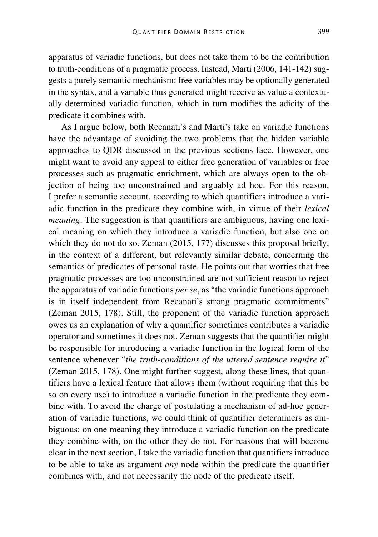apparatus of variadic functions, but does not take them to be the contribution to truth-conditions of a pragmatic process. Instead, Marti (2006, 141-142) suggests a purely semantic mechanism: free variables may be optionally generated in the syntax, and a variable thus generated might receive as value a contextually determined variadic function, which in turn modifies the adicity of the predicate it combines with.

As I argue below, both Recanati's and Marti's take on variadic functions have the advantage of avoiding the two problems that the hidden variable approaches to QDR discussed in the previous sections face. However, one might want to avoid any appeal to either free generation of variables or free processes such as pragmatic enrichment, which are always open to the objection of being too unconstrained and arguably ad hoc. For this reason, I prefer a semantic account, according to which quantifiers introduce a variadic function in the predicate they combine with, in virtue of their *lexical meaning*. The suggestion is that quantifiers are ambiguous, having one lexical meaning on which they introduce a variadic function, but also one on which they do not do so. Zeman (2015, 177) discusses this proposal briefly, in the context of a different, but relevantly similar debate, concerning the semantics of predicates of personal taste. He points out that worries that free pragmatic processes are too unconstrained are not sufficient reason to reject the apparatus of variadic functions *per se*, as "the variadic functions approach is in itself independent from Recanati's strong pragmatic commitments" (Zeman 2015, 178). Still, the proponent of the variadic function approach owes us an explanation of why a quantifier sometimes contributes a variadic operator and sometimes it does not. Zeman suggests that the quantifier might be responsible for introducing a variadic function in the logical form of the sentence whenever "*the truth-conditions of the uttered sentence require it*" (Zeman 2015, 178). One might further suggest, along these lines, that quantifiers have a lexical feature that allows them (without requiring that this be so on every use) to introduce a variadic function in the predicate they combine with. To avoid the charge of postulating a mechanism of ad-hoc generation of variadic functions, we could think of quantifier determiners as ambiguous: on one meaning they introduce a variadic function on the predicate they combine with, on the other they do not. For reasons that will become clear in the next section, I take the variadic function that quantifiers introduce to be able to take as argument *any* node within the predicate the quantifier combines with, and not necessarily the node of the predicate itself.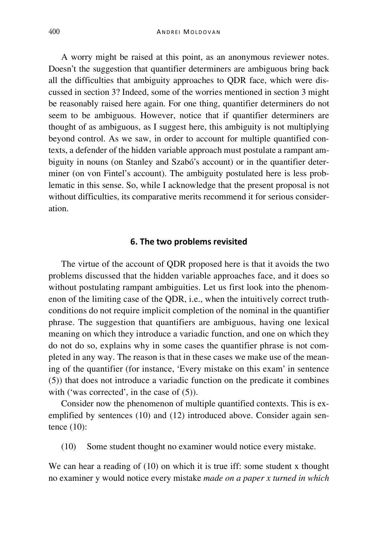A worry might be raised at this point, as an anonymous reviewer notes. Doesn't the suggestion that quantifier determiners are ambiguous bring back all the difficulties that ambiguity approaches to QDR face, which were discussed in section 3? Indeed, some of the worries mentioned in section 3 might be reasonably raised here again. For one thing, quantifier determiners do not seem to be ambiguous. However, notice that if quantifier determiners are thought of as ambiguous, as I suggest here, this ambiguity is not multiplying beyond control. As we saw, in order to account for multiple quantified contexts, a defender of the hidden variable approach must postulate a rampant ambiguity in nouns (on Stanley and Szabó's account) or in the quantifier determiner (on von Fintel's account). The ambiguity postulated here is less problematic in this sense. So, while I acknowledge that the present proposal is not without difficulties, its comparative merits recommend it for serious consideration.

#### **6. The two problems revisited**

The virtue of the account of QDR proposed here is that it avoids the two problems discussed that the hidden variable approaches face, and it does so without postulating rampant ambiguities. Let us first look into the phenomenon of the limiting case of the QDR, i.e., when the intuitively correct truthconditions do not require implicit completion of the nominal in the quantifier phrase. The suggestion that quantifiers are ambiguous, having one lexical meaning on which they introduce a variadic function, and one on which they do not do so, explains why in some cases the quantifier phrase is not completed in any way. The reason is that in these cases we make use of the meaning of the quantifier (for instance, 'Every mistake on this exam' in sentence (5)) that does not introduce a variadic function on the predicate it combines with ('was corrected', in the case of  $(5)$ ).

Consider now the phenomenon of multiple quantified contexts. This is exemplified by sentences (10) and (12) introduced above. Consider again sentence (10):

(10) Some student thought no examiner would notice every mistake.

We can hear a reading of (10) on which it is true iff: some student x thought no examiner y would notice every mistake *made on a paper x turned in which*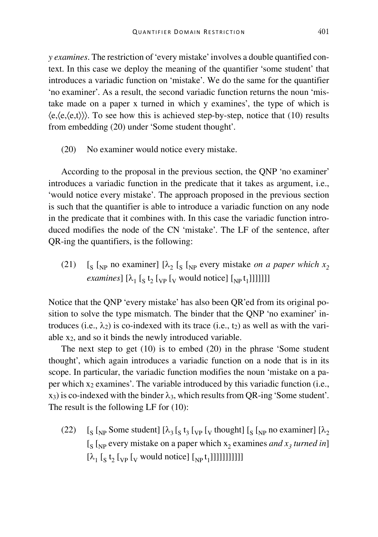*y examines*. The restriction of 'every mistake' involves a double quantified context. In this case we deploy the meaning of the quantifier 'some student' that introduces a variadic function on 'mistake'. We do the same for the quantifier 'no examiner'. As a result, the second variadic function returns the noun 'mistake made on a paper x turned in which y examines', the type of which is  $\langle e, \langle e, \langle e, \rangle \rangle$ ). To see how this is achieved step-by-step, notice that (10) results from embedding (20) under 'Some student thought'.

(20) No examiner would notice every mistake.

According to the proposal in the previous section, the QNP 'no examiner' introduces a variadic function in the predicate that it takes as argument, i.e., 'would notice every mistake'. The approach proposed in the previous section is such that the quantifier is able to introduce a variadic function on any node in the predicate that it combines with. In this case the variadic function introduced modifies the node of the CN 'mistake'. The LF of the sentence, after QR-ing the quantifiers, is the following:

(21)  $\left[\int_S \int_{NP}$  no examiner]  $\left[\lambda_2 \right]_{S}$   $\left[\int_{NP}$  every mistake *on a paper which*  $x_2$ *examines*]  $[\lambda_1 [\s_5 t_2]_{VP} [\v_6$  would notice]  $[\varepsilon_{NP} t_1]]]]]]$ ]

Notice that the QNP 'every mistake' has also been QR'ed from its original position to solve the type mismatch. The binder that the QNP 'no examiner' introduces (i.e.,  $\lambda_2$ ) is co-indexed with its trace (i.e., t<sub>2</sub>) as well as with the variable x2, and so it binds the newly introduced variable.

The next step to get (10) is to embed (20) in the phrase 'Some student thought', which again introduces a variadic function on a node that is in its scope. In particular, the variadic function modifies the noun 'mistake on a paper which  $x_2$  examines'. The variable introduced by this variadic function (i.e.,  $x_3$ ) is co-indexed with the binder  $\lambda_3$ , which results from OR-ing 'Some student'. The result is the following LF for (10):

(22)  $\left[\int_S \int_{NP}$  Some student]  $\left[\lambda_3\right]_S t_3 \left[\int_V \text{fhought}\right] \left[\int_S \left[\int_N \text{p no examiner}\right] \left[\lambda_2\right] \right]$  $\left[\int_{S} \int_{NP}$  every mistake on a paper which  $x_2$  examines *and*  $x_3$  *turned in*]  $[\lambda_1 [\s_{\text{S}} t_2 [\v_{\text{VP}} [\v_{\text{V}} \text{ would notice}] [\v_{\text{NP}} t_1]]]]]]]]$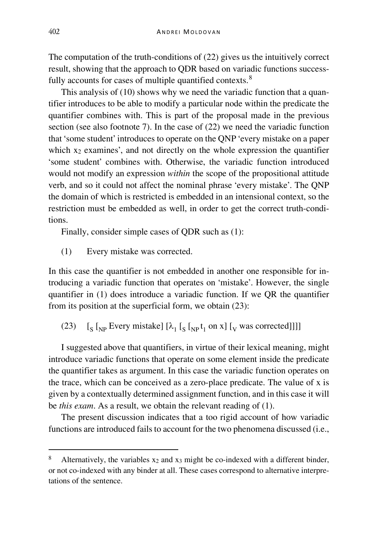The computation of the truth-conditions of (22) gives us the intuitively correct result, showing that the approach to QDR based on variadic functions success-fully accounts for cases of multiple quantified contexts.<sup>[8](#page-18-0)</sup>

This analysis of (10) shows why we need the variadic function that a quantifier introduces to be able to modify a particular node within the predicate the quantifier combines with. This is part of the proposal made in the previous section (see also footnote 7). In the case of (22) we need the variadic function that 'some student' introduces to operate on the QNP 'every mistake on a paper which  $x_2$  examines', and not directly on the whole expression the quantifier 'some student' combines with. Otherwise, the variadic function introduced would not modify an expression *within* the scope of the propositional attitude verb, and so it could not affect the nominal phrase 'every mistake'. The QNP the domain of which is restricted is embedded in an intensional context, so the restriction must be embedded as well, in order to get the correct truth-conditions.

Finally, consider simple cases of QDR such as (1):

(1) Every mistake was corrected.

In this case the quantifier is not embedded in another one responsible for introducing a variadic function that operates on 'mistake'. However, the single quantifier in (1) does introduce a variadic function. If we QR the quantifier from its position at the superficial form, we obtain (23):

(23)  $\left[\int_S \left[\int_{NP} \text{Every mistake}\right] \left[\lambda_1 \left[\int_S \left[\int_{NP} t_1 \text{ on } x\right] \left[\int_V \text{ was corrected}\right]\right]\right]\right]$ 

I suggested above that quantifiers, in virtue of their lexical meaning, might introduce variadic functions that operate on some element inside the predicate the quantifier takes as argument. In this case the variadic function operates on the trace, which can be conceived as a zero-place predicate. The value of x is given by a contextually determined assignment function, and in this case it will be *this exam*. As a result, we obtain the relevant reading of (1).

The present discussion indicates that a too rigid account of how variadic functions are introduced fails to account for the two phenomena discussed (i.e.,

<span id="page-18-0"></span>Alternatively, the variables x<sub>2</sub> and x<sub>3</sub> might be co-indexed with a different binder, or not co-indexed with any binder at all. These cases correspond to alternative interpretations of the sentence.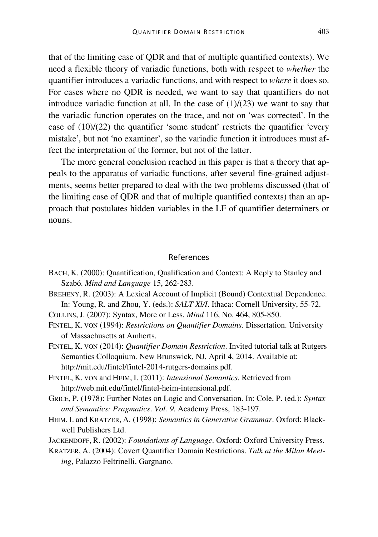that of the limiting case of QDR and that of multiple quantified contexts). We need a flexible theory of variadic functions, both with respect to *whether* the quantifier introduces a variadic functions, and with respect to *where* it does so. For cases where no QDR is needed, we want to say that quantifiers do not introduce variadic function at all. In the case of  $(1)/(23)$  we want to say that the variadic function operates on the trace, and not on 'was corrected'. In the case of (10)/(22) the quantifier 'some student' restricts the quantifier 'every mistake', but not 'no examiner', so the variadic function it introduces must affect the interpretation of the former, but not of the latter.

The more general conclusion reached in this paper is that a theory that appeals to the apparatus of variadic functions, after several fine-grained adjustments, seems better prepared to deal with the two problems discussed (that of the limiting case of QDR and that of multiple quantified contexts) than an approach that postulates hidden variables in the LF of quantifier determiners or nouns.

#### References

- BACH, K. (2000): Quantification, Qualification and Context: A Reply to Stanley and Szabó. *Mind and Language* 15, 262-283.
- BREHENY, R. (2003): A Lexical Account of Implicit (Bound) Contextual Dependence. In: Young, R. and Zhou, Y. (eds.): *SALT Xl/I*. Ithaca: Cornell University, 55-72.

COLLINS, J. (2007): Syntax, More or Less. *Mind* 116, No. 464, 805-850.

FINTEL, K. VON (1994): *Restrictions on Quantifier Domains*. Dissertation. University of Massachusetts at Amherts.

FINTEL, K. VON (2014): *Quantifier Domain Restriction*. Invited tutorial talk at Rutgers Semantics Colloquium. New Brunswick, NJ, April 4, 2014. Available at: http://mit.edu/fintel/fintel-2014-rutgers-domains.pdf.

FINTEL, K. VON and HEIM, I. (2011): *Intensional Semantics*. Retrieved from http://web.mit.edu/fintel/fintel-heim-intensional.pdf.

- GRICE, P. (1978): Further Notes on Logic and Conversation. In: Cole, P. (ed.): *Syntax and Semantics: Pragmatics*. *Vol. 9*. Academy Press, 183-197.
- HEIM, I. and KRATZER, A. (1998): *Semantics in Generative Grammar*. Oxford: Blackwell Publishers Ltd.
- JACKENDOFF, R. (2002): *Foundations of Language*. Oxford: Oxford University Press.
- KRATZER, A. (2004): Covert Quantifier Domain Restrictions. *Talk at the Milan Meeting*, Palazzo Feltrinelli, Gargnano.